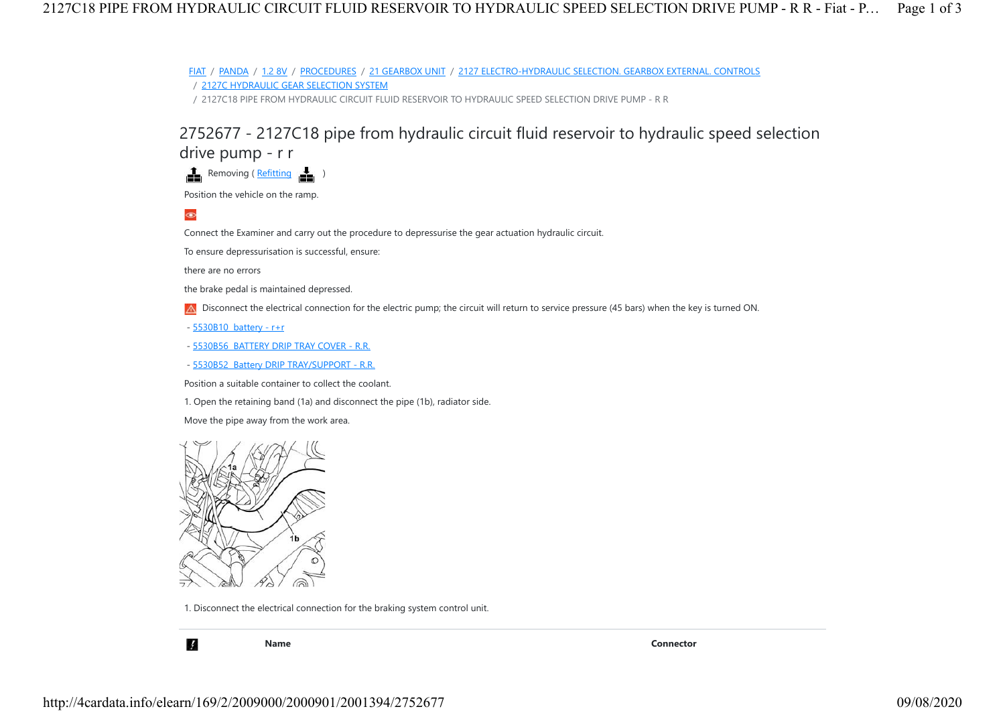FIAT / PANDA / 1.2 8V / PROCEDURES / 21 GEARBOX UNIT / 2127 ELECTRO-HYDRAULIC SELECTION. GEARBOX EXTERNAL. CONTROLS / 2127C HYDRAULIC GEAR SELECTION SYSTEM

/ 2127C18 PIPE FROM HYDRAULIC CIRCUIT FLUID RESERVOIR TO HYDRAULIC SPEED SELECTION DRIVE PUMP - R R

## 2752677 - 2127C18 pipe from hydraulic circuit fluid reservoir to hydraulic speed selection drive pump - r r

 $\frac{1}{\sqrt{2}}$  Removing ( $\frac{Refitting}{\sqrt{2}}$  )

Position the vehicle on the ramp.

 $\circledast$ 

Connect the Examiner and carry out the procedure to depressurise the gear actuation hydraulic circuit.

To ensure depressurisation is successful, ensure:

there are no errors

the brake pedal is maintained depressed.

A Disconnect the electrical connection for the electric pump; the circuit will return to service pressure (45 bars) when the key is turned ON.

- 5530B10 battery - r+r

- 5530B56 BATTERY DRIP TRAY COVER - R.R.

- 5530B52 Battery DRIP TRAY/SUPPORT - R.R.

Position a suitable container to collect the coolant.

1. Open the retaining band (1a) and disconnect the pipe (1b), radiator side.

Move the pipe away from the work area.



1. Disconnect the electrical connection for the braking system control unit.

 $\mathcal{F}_{\mathcal{A}}$ 

Name Connector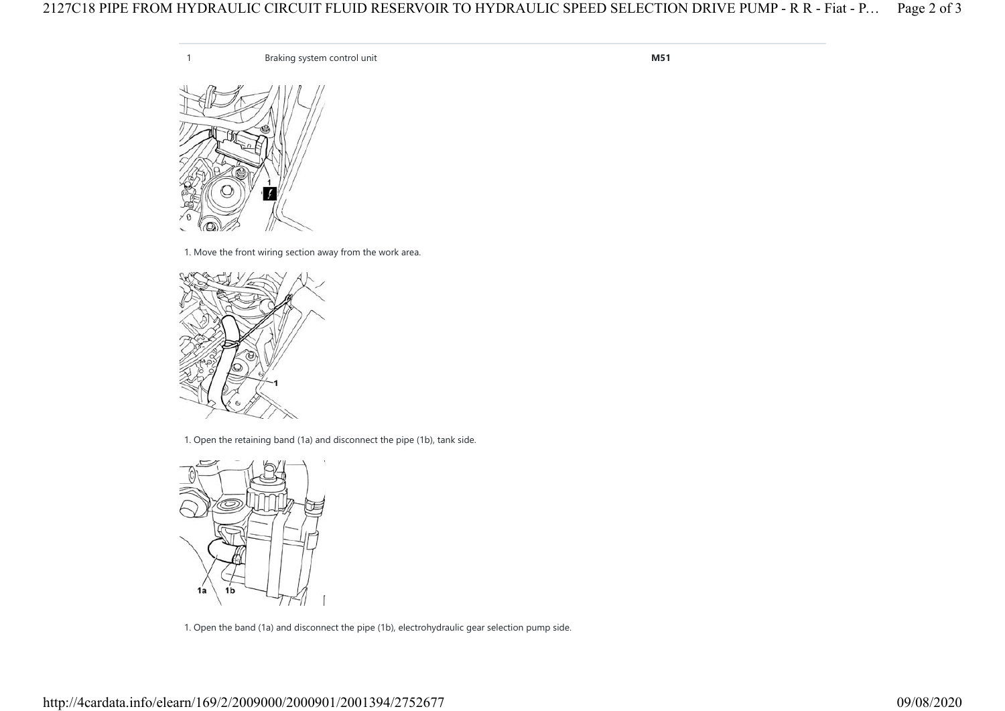1 Braking system control unit M51



1. Move the front wiring section away from the work area.



<sup>1.</sup> Open the retaining band (1a) and disconnect the pipe (1b), tank side.



1. Open the band (1a) and disconnect the pipe (1b), electrohydraulic gear selection pump side.